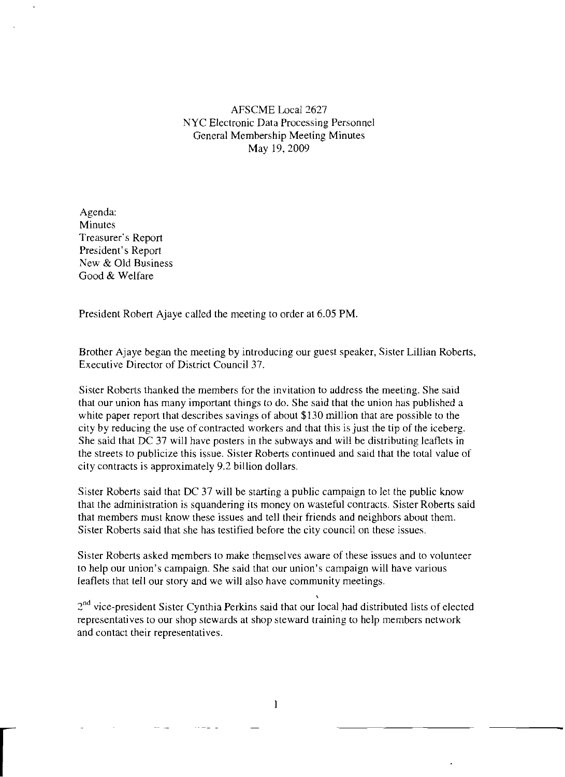AFSCME Local 2627 NYC Electronic Data Processing Personnel General Membership Meeting Minutes May 19,2009

Agenda: Minutes Treasurer's Report President's Report New & Old Business Good & Welfare

r

President Robert Ajaye called the meeting to order at 6.05 PM.

Brother Ajaye began the meeting by introducing our guest speaker, Sister Lillian Roberts, Executive Director of District Council 37.

Sister Roberts thanked the members for the invitation to address the meeting. She said that our union has many important things to do. She said that the union has published a white paper report that describes savings of about \$130 million that are possible to the city by reducing the use of contracted workers and that this is just the tip of the iceberg. She said that DC 37 will have posters in the subways and will be distributing leaflets in the streets to publicize this issue. Sister Roberts continued and said that the total value of city contracts is approximately 9.2 billion dollars.

Sister Roberts said that DC 37 will be starting a public campaign to let the public know that the administration is squandering its money on wasteful contracts. Sister Roberts said that members must know these issues and tell their friends and neighbors about them. Sister Roberts said that she has testified before the city council on these issues.

Sister Roberts asked members to make themselves aware of these issues and to volunteer to help our union's campaign. She said that our union's campaign will have various leaflets that tell our story and we will also have community meetings.

 $2<sup>nd</sup>$  vice-president Sister Cynthia Perkins said that our local had distributed lists of elected representatives to our shop stewards at shop steward training to help members network and contact their representatives.

,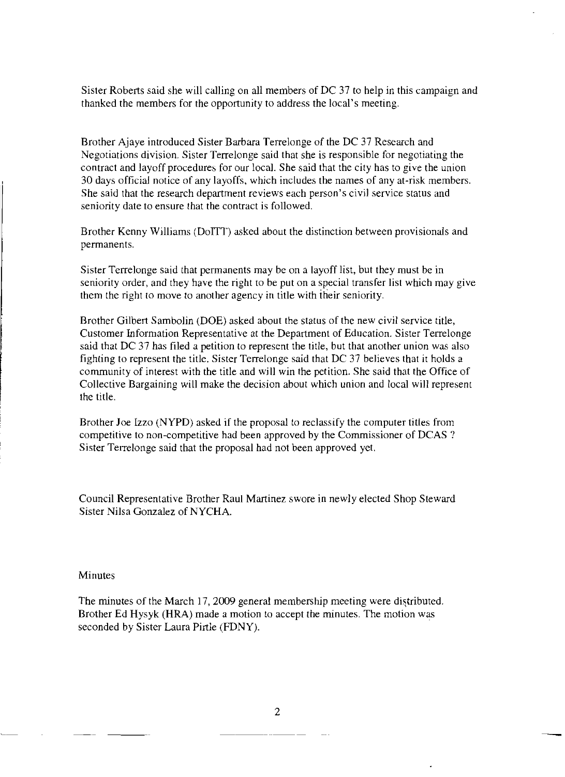Sister Roberts said she will calling on all members of DC 37 to help in this campaign and thanked the members for the opportunity to address the local's meeting.

Brother Ajaye introduced Sister Barbara Terrelonge of the DC 37 Research and Negotiations division. Sister Terrelonge said that she is responsible for negotiating the contract and layoff procedures for our local. She said that the city has to give the union 30 days official notice of any layoffs, which includes the names of any at-risk members. She said that the research department reviews each person's civil service status and seniority date to ensure that the contract is followed.

Brother Kenny Williams (DoITT) asked about the distinction between provisionals and perrnanents.

Sister Terrelonge said that permanents may be on a layoff list, but they must be in seniority order, and they have the right to be put on a special transfer list which may give them the right to move to another agency in title with iheir seniority.

Brother Gilbert Sambolin (DOE) asked about the status of the new civil service title, Customer Information Representative at the Department of Education. Sister Terrelonge said that DC 37 has filed a petition to represent the title, but that another union was also fighting to represent the title. Sister Terrelonge said that DC 37 believes that it holds a community of interest with the title and will win the petition. She said that the Office of Collective Bargaining will make the decision about which union and local will represent the title.

Brother Joe Izzo (NYPD) asked if the proposal to reclassify the computer titles from competitive to non-competitive had been approved by the Commissioner of DCAS ? Sister Terrelonge said that the proposal had not been approved yet.

Council Representative Brother Raul Martinez swore in newly elected Shop Steward Sister Nilsa Gonzalez of NYCHA.

#### Minutes

The minutes of the March 17, 2009 general membership meeting were distributed. Brother Ed Hysyk (HRA) made a motion to accept the minutes. The motion was seconded by Sister Laura Pirtle (FDNY).

2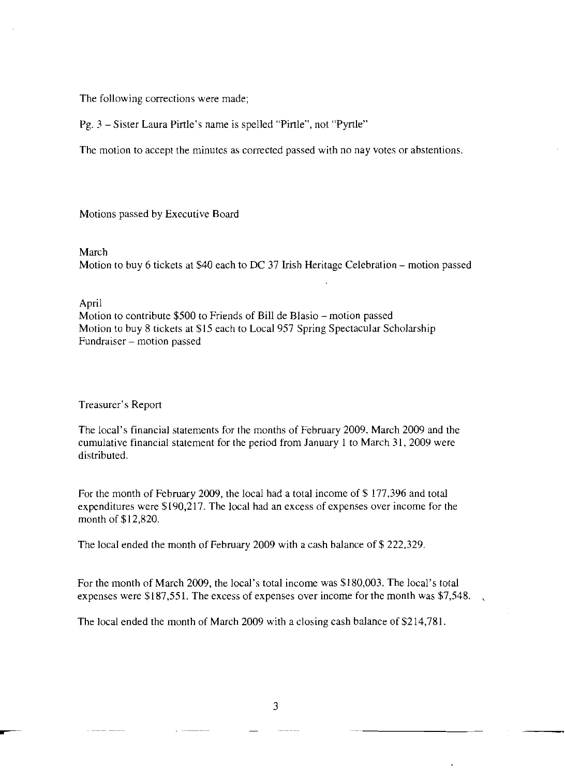The following corrections were made;

Pg. 3 - Sister Laura Pirtle's name is spelled "Pirtle", not "Pyrtle"

The motion to accept the minutes as corrected passed with no nay votes or abstentions.

Motions passed by Executive Board

#### March

Motion to buy 6 tickets at \$40 each to DC 37 Irish Heritage Celebration – motion passed

## April

Motion to contribute \$500 to Friends of Bill de Blasio – motion passed Motion to buy 8 tickets at \$15 each to Local 957 Spring Spectacular Scholarship Fundraiser - motion passed

## Treasurer's Report

The local's financial statements for the months of February 2009, March 2009 and the cumulative financial statement for the period from January I to March 31,2009 were distributed.

For the month of February 2009, the local had a total income of \$ 177,396 and total expenditures were \$190,217. The local had an excess of expenses over income for the month of \$12,820.

The local ended the month of February 2009 with a cash balance of \$ 222,329.

For the month of March 2009, the local's total income was \$180,003. The local's total expenses were \$187,551. The excess of expenses over income for the month was \$7,548.

The local ended the month of March 2009 with a closing cash balance of \$214,781.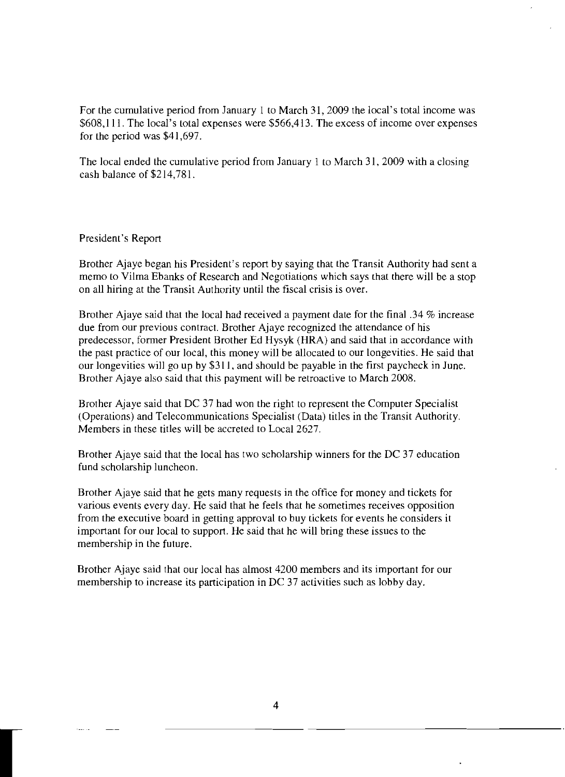For the cumulative period from January I to March 31, 2009 the local's total income was \$608,111. The local's total expenses were \$566,413. The excess of income over expenses for the period was \$41,697.

The local ended the cumulative period from January I to March 31, 2009 with a closing cash balance of \$214,781.

# President's Report

r

Brother Ajaye began his President's report by saying that the Transit Authority had sent a memo to Vilma Ebanks of Research and Negotiations which says that there will be a stop on all hiring at the Transit Authority until the fiscal crisis is over.

Brother Ajaye said that the local had received a payment date for the final .34 % increase due from our previous contract. Brother Ajaye recognized the attendance of his predecessor, former President Brother Ed Hysyk (HRA) and said that in accordance with the past practice of our local, this money will be allocated to our longevities. He said that our longevities will go up by \$311, and should be payable in the first paycheck in June. Brother Ajaye also said that this payment will be retroactive to March 2008.

Brother Ajaye said that DC 37 had won the right to represent the Computer Specialist (Operations) and Telecommunications Specialist (Data) titles in the Transit Authority. Members in these titles will be accreted to Local 2627.

Brother Ajaye said that the local has two scholarship winners for the DC 37 education fund scholarship luncheon.

Brother Ajaye said that he gets many requests in the office for money and tickets for various events every day. He said that he feels that he sometimes receives opposition from the executive board in getting approval to buy tickets for events he considers it important for our local to support. He said that he will bring these issues to the membership in the future.

Brother Ajaye said that our local has almost 4200 members and its important for our membership to increase its participation in DC 37 activities such as lobby day.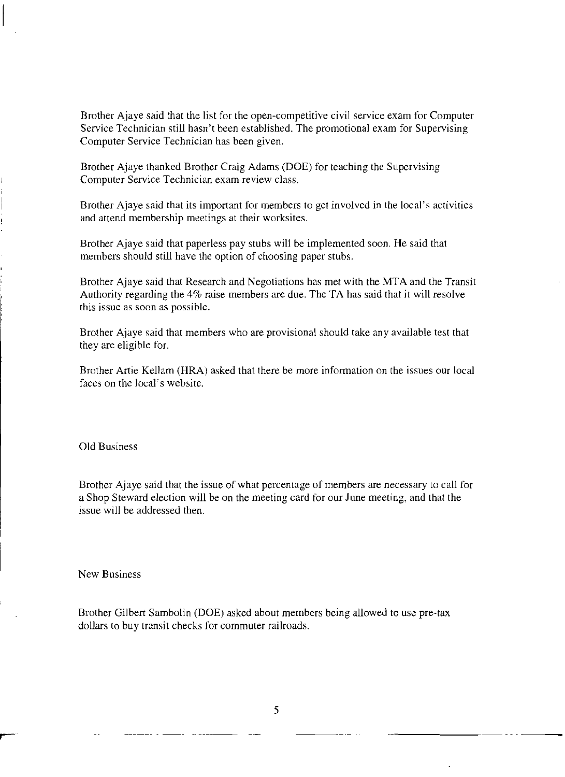Brother Ajaye said that the list for the open-competitive civil service exam for Computer Service Technician still hasn't been established. The promotional exam for Supervising Computer Service Technician has been given.

Brother Ajaye thanked Brother Craig Adams (DOE) for teaching the Supervising Computer Service Technician exam review class.

Brother Ajaye said that its important for members to get involved in the local's activities and attend membership meetings at their worksites.

Brother Ajaye said that paperless pay stubs will be implemented soon. He said that members should still have the option of choosing paper stubs.

Brother Ajaye said that Research and Negotiations has met with the MTA and the Transit Authority regarding the 4% raise members are due. The TA has said that it will resolve this issue as soon as possible.

Brother Ajaye said that members who are provisional should take any available test that they are eligible for.

Brother Artie Kellam (HRA) asked that there be more information on the issues our local faces on the local's website.

Old Business

Brother Ajaye said that the issue of what percentage of members are necessary to call for a Shop Steward election will be on the meeting card for our June meeting, and that the issue will be addressed then.

New Business

Brother Gilbert Sambolin (DOE) asked about members being allowed to use pre-tax dollars to buy transit checks for commuter railroads.

5